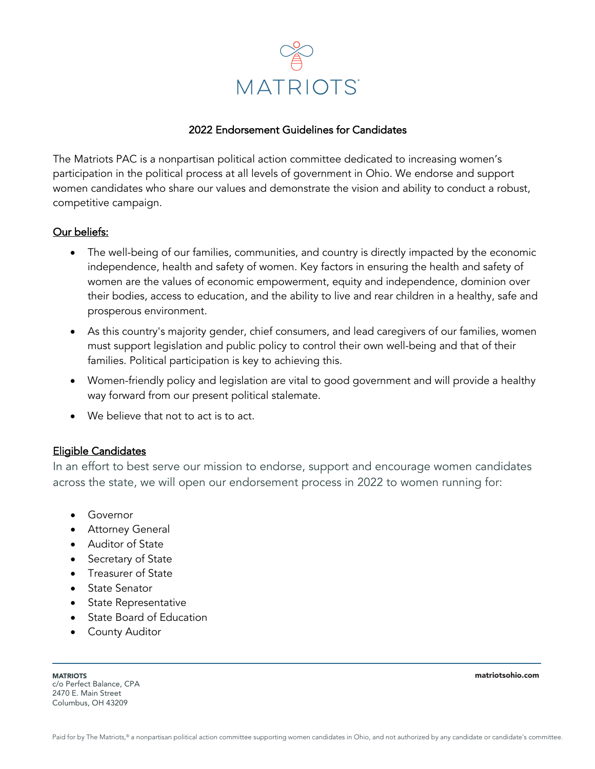

# 2022 Endorsement Guidelines for Candidates

The Matriots PAC is a nonpartisan political action committee dedicated to increasing women's participation in the political process at all levels of government in Ohio. We endorse and support women candidates who share our values and demonstrate the vision and ability to conduct a robust, competitive campaign.

#### Our beliefs:

- The well-being of our families, communities, and country is directly impacted by the economic independence, health and safety of women. Key factors in ensuring the health and safety of women are the values of economic empowerment, equity and independence, dominion over their bodies, access to education, and the ability to live and rear children in a healthy, safe and prosperous environment.
- As this country's majority gender, chief consumers, and lead caregivers of our families, women must support legislation and public policy to control their own well-being and that of their families. Political participation is key to achieving this.
- Women-friendly policy and legislation are vital to good government and will provide a healthy way forward from our present political stalemate.
- We believe that not to act is to act.

# Eligible Candidates

In an effort to best serve our mission to endorse, support and encourage women candidates across the state, we will open our endorsement process in 2022 to women running for:

- Governor
- Attorney General
- Auditor of State
- Secretary of State
- Treasurer of State
- State Senator
- State Representative
- State Board of Education
- County Auditor

**MATRIOTS** c/o Perfect Balance, CPA 2470 E. Main Street Columbus, OH 43209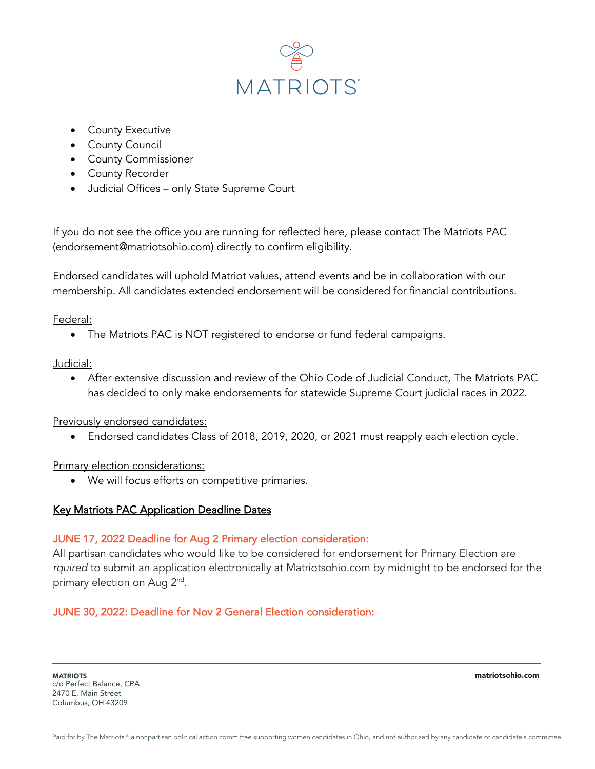

- County Executive
- County Council
- County Commissioner
- County Recorder
- Judicial Offices only State Supreme Court

If you do not see the office you are running for reflected here, please contact The Matriots PAC (endorsement@matriotsohio.com) directly to confirm eligibility.

Endorsed candidates will uphold Matriot values, attend events and be in collaboration with our membership. All candidates extended endorsement will be considered for financial contributions.

#### Federal:

• The Matriots PAC is NOT registered to endorse or fund federal campaigns.

#### Judicial:

• After extensive discussion and review of the Ohio Code of Judicial Conduct, The Matriots PAC has decided to only make endorsements for statewide Supreme Court judicial races in 2022.

#### Previously endorsed candidates:

• Endorsed candidates Class of 2018, 2019, 2020, or 2021 must reapply each election cycle.

# Primary election considerations:

• We will focus efforts on competitive primaries.

# Key Matriots PAC Application Deadline Dates

# JUNE 17, 2022 Deadline for Aug 2 Primary election consideration:

All partisan candidates who would like to be considered for endorsement for Primary Election are *rquired* to submit an application electronically at Matriotsohio.com by midnight to be endorsed for the primary election on Aug 2<sup>nd</sup>.

# JUNE 30, 2022: Deadline for Nov 2 General Election consideration:

**MATRIOTS** c/o Perfect Balance, CPA 2470 E. Main Street Columbus, OH 43209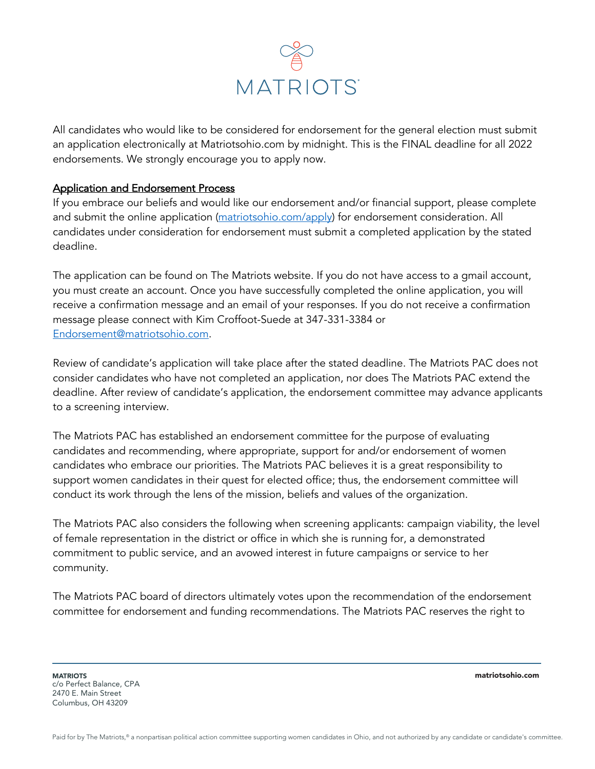

All candidates who would like to be considered for endorsement for the general election must submit an application electronically at Matriotsohio.com by midnight. This is the FINAL deadline for all 2022 endorsements. We strongly encourage you to apply now.

#### Application and Endorsement Process

If you embrace our beliefs and would like our endorsement and/or financial support, please complete and submit the online application (matriotsohio.com/apply) for endorsement consideration. All candidates under consideration for endorsement must submit a completed application by the stated deadline.

The application can be found on The Matriots website. If you do not have access to a gmail account, you must create an account. Once you have successfully completed the online application, you will receive a confirmation message and an email of your responses. If you do not receive a confirmation message please connect with Kim Croffoot-Suede at 347-331-3384 or Endorsement@matriotsohio.com.

Review of candidate's application will take place after the stated deadline. The Matriots PAC does not consider candidates who have not completed an application, nor does The Matriots PAC extend the deadline. After review of candidate's application, the endorsement committee may advance applicants to a screening interview.

The Matriots PAC has established an endorsement committee for the purpose of evaluating candidates and recommending, where appropriate, support for and/or endorsement of women candidates who embrace our priorities. The Matriots PAC believes it is a great responsibility to support women candidates in their quest for elected office; thus, the endorsement committee will conduct its work through the lens of the mission, beliefs and values of the organization.

The Matriots PAC also considers the following when screening applicants: campaign viability, the level of female representation in the district or office in which she is running for, a demonstrated commitment to public service, and an avowed interest in future campaigns or service to her community.

The Matriots PAC board of directors ultimately votes upon the recommendation of the endorsement committee for endorsement and funding recommendations. The Matriots PAC reserves the right to

**MATRIOTS** c/o Perfect Balance, CPA 2470 E. Main Street Columbus, OH 43209